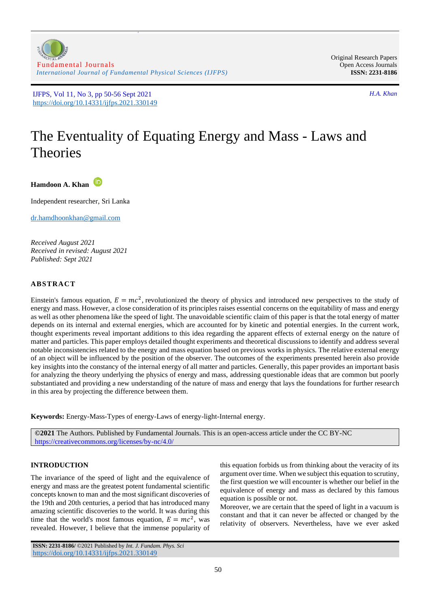

z

Original Research Papers Open Access Journals **ISSN: 2231-8186**

# The Eventuality of Equating Energy and Mass - Laws and Theories

**Hamdoon A. Khan**

Independent researcher, Sri Lanka

[dr.hamdhoonkhan@gmail.com](mailto:dr.hamdhoonkhan@gmail.com)

*Received August 2021 Received in revised: August 2021 Published: Sept 2021*

# **ABSTRACT**

Einstein's famous equation,  $E = mc^2$ , revolutionized the theory of physics and introduced new perspectives to the study of energy and mass. However, a close consideration of its principles raises essential concerns on the equitability of mass and energy as well as other phenomena like the speed of light. The unavoidable scientific claim of this paper is that the total energy of matter depends on its internal and external energies, which are accounted for by kinetic and potential energies. In the current work, thought experiments reveal important additions to this idea regarding the apparent effects of external energy on the nature of matter and particles. This paper employs detailed thought experiments and theoretical discussions to identify and address several notable inconsistencies related to the energy and mass equation based on previous works in physics. The relative external energy of an object will be influenced by the position of the observer. The outcomes of the experiments presented herein also provide key insights into the constancy of the internal energy of all matter and particles. Generally, this paper provides an important basis for analyzing the theory underlying the physics of energy and mass, addressing questionable ideas that are common but poorly substantiated and providing a new understanding of the nature of mass and energy that lays the foundations for further research in this area by projecting the difference between them.

**Keywords:** Energy-Mass-Types of energy-Laws of energy-light-Internal energy.

**©2021** The Authors. Published by Fundamental Journals. This is an open-access article under the CC BY-NC <https://creativecommons.org/licenses/by-nc/4.0/>

# **INTRODUCTION**

The invariance of the speed of light and the equivalence of energy and mass are the greatest potent fundamental scientific concepts known to man and the most significant discoveries of the 19th and 20th centuries, a period that has introduced many amazing scientific discoveries to the world. It was during this time that the world's most famous equation,  $E = mc^2$ , was revealed. However, I believe that the immense popularity of

this equation forbids us from thinking about the veracity of its argument over time. When we subject this equation to scrutiny, the first question we will encounter is whether our belief in the equivalence of energy and mass as declared by this famous equation is possible or not.

Moreover, we are certain that the speed of light in a vacuum is constant and that it can never be affected or changed by the relativity of observers. Nevertheless, have we ever asked

**ISSN: 2231-8186/** ©2021 Published by *Int. J. Fundam. Phys. Sci* <https://doi.org/10.14331/ijfps.2021.330149>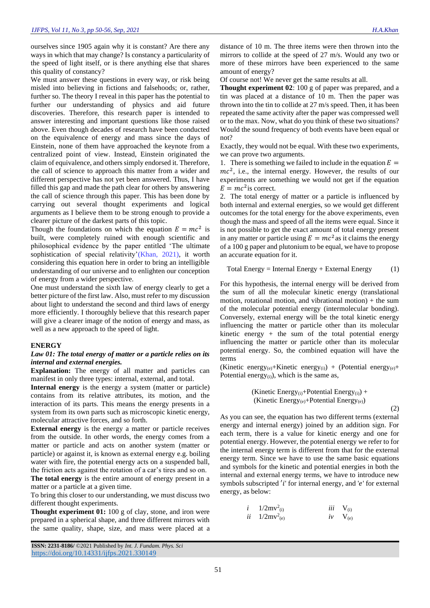ourselves since 1905 again why it is constant? Are there any ways in which that may change? Is constancy a particularity of the speed of light itself, or is there anything else that shares this quality of constancy?

We must answer these questions in every way, or risk being misled into believing in fictions and falsehoods; or, rather, further so. The theory I reveal in this paper has the potential to further our understanding of physics and aid future discoveries. Therefore, this research paper is intended to answer interesting and important questions like those raised above. Even though decades of research have been conducted on the equivalence of energy and mass since the days of Einstein, none of them have approached the keynote from a centralized point of view. Instead, Einstein originated the claim of equivalence, and others simply endorsed it. Therefore, the call of science to approach this matter from a wider and different perspective has not yet been answered. Thus, I have filled this gap and made the path clear for others by answering the call of science through this paper. This has been done by carrying out several thought experiments and logical arguments as I believe them to be strong enough to provide a clearer picture of the darkest parts of this topic.

Though the foundations on which the equation  $E = mc^2$  is built, were completely ruined with enough scientific and philosophical evidence by the paper entitled 'The ultimate sophistication of special relativity'[\(Khan, 2021\)](#page-6-0), it worth considering this equation here in order to bring an intelligible understanding of our universe and to enlighten our conception of energy from a wider perspective.

One must understand the sixth law of energy clearly to get a better picture of the first law. Also, must refer to my discussion about light to understand the second and third laws of energy more efficiently. I thoroughly believe that this research paper will give a clearer image of the notion of energy and mass, as well as a new approach to the speed of light.

#### **ENERGY**

## *Law 01: The total energy of matter or a particle relies on its internal and external energies.*

**Explanation:** The energy of all matter and particles can manifest in only three types: internal, external, and total.

**Internal energy** is the energy a system (matter or particle) contains from its relative attributes, its motion, and the interaction of its parts. This means the energy presents in a system from its own parts such as microscopic kinetic energy, molecular attractive forces, and so forth.

**External energy** is the energy a matter or particle receives from the outside. In other words, the energy comes from a matter or particle and acts on another system (matter or particle) or against it, is known as external energy e.g. boiling water with fire, the potential energy acts on a suspended ball, the friction acts against the rotation of a car's tires and so on.

**The total energy** is the entire amount of energy present in a matter or a particle at a given time.

To bring this closer to our understanding, we must discuss two different thought experiments.

**Thought experiment 01:** 100 g of clay, stone, and iron were prepared in a spherical shape, and three different mirrors with the same quality, shape, size, and mass were placed at a

distance of 10 m. The three items were then thrown into the mirrors to collide at the speed of 27 m/s. Would any two or more of these mirrors have been experienced to the same amount of energy?

Of course not! We never get the same results at all.

**Thought experiment 02**: 100 g of paper was prepared, and a tin was placed at a distance of 10 m. Then the paper was thrown into the tin to collide at 27 m/s speed. Then, it has been repeated the same activity after the paper was compressed well or to the max. Now, what do you think of these two situations? Would the sound frequency of both events have been equal or not?

Exactly, they would not be equal. With these two experiments, we can prove two arguments.

1. There is something we failed to include in the equation  $E =$  $mc<sup>2</sup>$ , i.e., the internal energy. However, the results of our experiments are something we would not get if the equation  $E = mc^2$  is correct.

2. The total energy of matter or a particle is influenced by both internal and external energies, so we would get different outcomes for the total energy for the above experiments, even though the mass and speed of all the items were equal. Since it is not possible to get the exact amount of total energy present in any matter or particle using  $E = mc^2$  as it claims the energy of a 100 g paper and plutonium to be equal, we have to propose an accurate equation for it.

$$
Total Energy = Internal Energy + External Energy \t(1)
$$

For this hypothesis, the internal energy will be derived from the sum of all the molecular kinetic energy (translational motion, rotational motion, and vibrational motion) + the sum of the molecular potential energy (intermolecular bonding). Conversely, external energy will be the total kinetic energy influencing the matter or particle other than its molecular kinetic energy  $+$  the sum of the total potential energy influencing the matter or particle other than its molecular potential energy. So, the combined equation will have the terms

(Kinetic energy<sub>(e)</sub>+Kinetic energy<sub>(i)</sub>) + (Potential energy<sub>(e)</sub>+ Potential energy $(i)$ , which is the same as,

(Kinetic Energy(i)+Potential Energy(i)) + (Kinetic Energy(e)+Potential Energy(e))

(2)

As you can see, the equation has two different terms (external energy and internal energy) joined by an addition sign. For each term, there is a value for kinetic energy and one for potential energy. However, the potential energy we refer to for the internal energy term is different from that for the external energy term. Since we have to use the same basic equations and symbols for the kinetic and potential energies in both the internal and external energy terms, we have to introduce new symbols subscripted  $'i'$  for internal energy, and  $'e'$  for external energy, as below:

*i* 
$$
1/2mv^2_{(i)}
$$
 *iii*  $V_{(i)}$   
*ii*  $1/2mv^2_{(e)}$  *iv*  $V_{(e)}$ 

**ISSN: 2231-8186/** ©2021 Published by *Int. J. Fundam. Phys. Sci* <https://doi.org/10.14331/ijfps.2021.330149>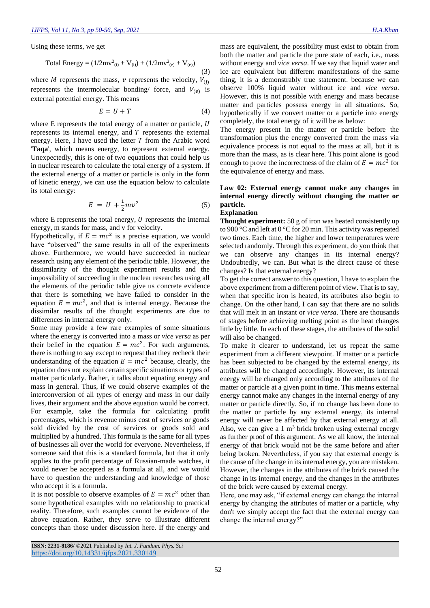Using these terms, we get

Total Energy = 
$$
(1/2mv^2_{(i)} + V_{(i)}) + (1/2mv^2_{(e)} + V_{(e)})
$$
 (3)

where *M* represents the mass,  $v$  represents the velocity,  $V_{(i)}$ represents the intermolecular bonding/ force, and  $V_{(e)}$  is external potential energy. This means

$$
E = U + T \tag{4}
$$

where E represents the total energy of a matter or particle, U represents its internal energy, and  $T$  represents the external energy. Here, I have used the letter  $T$  from the Arabic word '**Taqa**', which means energy, to represent external energy. Unexpectedly, this is one of two equations that could help us in nuclear research to calculate the total energy of a system. If the external energy of a matter or particle is only in the form of kinetic energy, we can use the equation below to calculate its total energy:

$$
E = U + \frac{1}{2}mv^2 \tag{5}
$$

where  $E$  represents the total energy,  $U$  represents the internal energy, m stands for mass, and v for velocity.

Hypothetically, if  $E = mc^2$  is a precise equation, we would have "observed" the same results in all of the experiments above. Furthermore, we would have succeeded in nuclear research using any element of the periodic table. However, the dissimilarity of the thought experiment results and the impossibility of succeeding in the nuclear researches using all the elements of the periodic table give us concrete evidence that there is something we have failed to consider in the equation  $E = mc^2$ , and that is internal energy. Because the dissimilar results of the thought experiments are due to differences in internal energy only.

Some may provide a few rare examples of some situations where the energy is converted into a mass or *vice versa* as per their belief in the equation  $E = mc^2$ . For such arguments, there is nothing to say except to request that they recheck their understanding of the equation  $E = mc^2$  because, clearly, the equation does not explain certain specific situations or types of matter particularly. Rather, it talks about equating energy and mass in general. Thus, if we could observe examples of the interconversion of all types of energy and mass in our daily lives, their argument and the above equation would be correct. For example, take the formula for calculating profit percentages, which is revenue minus cost of services or goods sold divided by the cost of services or goods sold and multiplied by a hundred. This formula is the same for all types of businesses all over the world for everyone. Nevertheless, if someone said that this is a standard formula, but that it only applies to the profit percentage of Russian-made watches, it would never be accepted as a formula at all, and we would have to question the understanding and knowledge of those who accept it is a formula.

It is not possible to observe examples of  $E = mc^2$  other than some hypothetical examples with no relationship to practical reality. Therefore, such examples cannot be evidence of the above equation. Rather, they serve to illustrate different concepts than those under discussion here. If the energy and

mass are equivalent, the possibility must exist to obtain from both the matter and particle the pure state of each, i.e., mass without energy and *vice versa*. If we say that liquid water and ice are equivalent but different manifestations of the same thing, it is a demonstrably true statement. because we can observe 100% liquid water without ice and *vice versa*. However, this is not possible with energy and mass because matter and particles possess energy in all situations. So, hypothetically if we convert matter or a particle into energy completely, the total energy of it will be as below:

The energy present in the matter or particle before the transformation plus the energy converted from the mass via equivalence process is not equal to the mass at all, but it is more than the mass, as is clear here. This point alone is good enough to prove the incorrectness of the claim of  $E = mc^2$  for the equivalence of energy and mass.

# **Law 02: External energy cannot make any changes in internal energy directly without changing the matter or particle.**

#### **Explanation**

**Thought experiment:** 50 g of iron was heated consistently up to 900 °C and left at 0 °C for 20 min. This activity was repeated two times. Each time, the higher and lower temperatures were selected randomly. Through this experiment, do you think that we can observe any changes in its internal energy? Undoubtedly, we can. But what is the direct cause of these changes? Is that external energy?

To get the correct answer to this question, I have to explain the above experiment from a different point of view. That is to say, when that specific iron is heated, its attributes also begin to change. On the other hand, I can say that there are no solids that will melt in an instant or *vice versa*. There are thousands of stages before achieving melting point as the heat changes little by little. In each of these stages, the attributes of the solid will also be changed.

To make it clearer to understand, let us repeat the same experiment from a different viewpoint. If matter or a particle has been subjected to be changed by the external energy, its attributes will be changed accordingly. However, its internal energy will be changed only according to the attributes of the matter or particle at a given point in time. This means external energy cannot make any changes in the internal energy of any matter or particle directly. So, if no change has been done to the matter or particle by any external energy, its internal energy will never be affected by that external energy at all. Also, we can give a  $1 \text{ m}^3$  brick broken using external energy as further proof of this argument. As we all know, the internal energy of that brick would not be the same before and after being broken. Nevertheless, if you say that external energy is the cause of the change in its internal energy, you are mistaken. However, the changes in the attributes of the brick caused the change in its internal energy, and the changes in the attributes of the brick were caused by external energy.

Here, one may ask, "if external energy can change the internal energy by changing the attributes of matter or a particle, why don't we simply accept the fact that the external energy can change the internal energy?"

**ISSN: 2231-8186/** ©2021 Published by *Int. J. Fundam. Phys. Sci* <https://doi.org/10.14331/ijfps.2021.330149>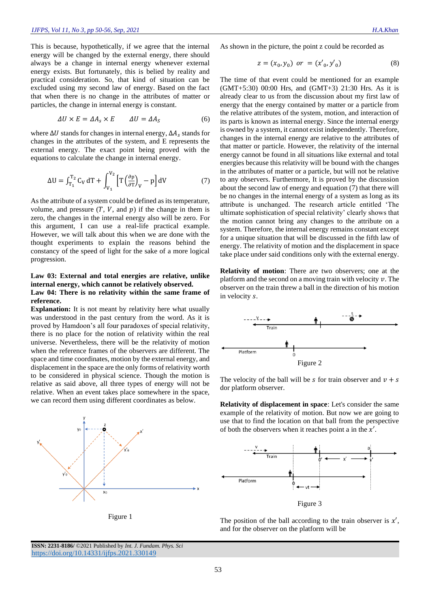This is because, hypothetically, if we agree that the internal energy will be changed by the external energy, there should always be a change in internal energy whenever external energy exists. But fortunately, this is belied by reality and practical consideration. So, that kind of situation can be excluded using my second law of energy. Based on the fact that when there is no change in the attributes of matter or particles, the change in internal energy is constant.

$$
\Delta U \times E = \Delta A_s \times E \qquad \Delta U = \Delta A_s \tag{6}
$$

where  $\Delta U$  stands for changes in internal energy,  $\Delta A_s$  stands for changes in the attributes of the system, and E represents the external energy. The exact point being proved with the equations to calculate the change in internal energy.

$$
\Delta U = \int_{T_1}^{T_2} C_V dT + \int_{V_1}^{V_2} \left[ T \left( \frac{\partial p}{\partial T} \right)_V - p \right] dV \tag{7}
$$

As the attribute of a system could be defined as its temperature, volume, and pressure  $(T, V, \text{ and } p)$  if the change in them is zero, the changes in the internal energy also will be zero. For this argument, I can use a real-life practical example. However, we will talk about this when we are done with the thought experiments to explain the reasons behind the constancy of the speed of light for the sake of a more logical progression.

# **Law 03: External and total energies are relative, unlike internal energy, which cannot be relatively observed.**

#### **Law 04: There is no relativity within the same frame of reference.**

**Explanation:** It is not meant by relativity here what usually was understood in the past century from the word. As it is proved by Hamdoon's all four paradoxes of special relativity, there is no place for the notion of relativity within the real universe. Nevertheless, there will be the relativity of motion when the reference frames of the observers are different. The space and time coordinates, motion by the external energy, and displacement in the space are the only forms of relativity worth to be considered in physical science. Though the motion is relative as said above, all three types of energy will not be relative. When an event takes place somewhere in the space, we can record them using different coordinates as below.





As shown in the picture, the point z could be recorded as

$$
z = (x_0, y_0) \text{ or } = (x'_0, y'_0) \tag{8}
$$

The time of that event could be mentioned for an example (GMT+5:30) 00:00 Hrs, and (GMT+3) 21:30 Hrs. As it is already clear to us from the discussion about my first law of energy that the energy contained by matter or a particle from the relative attributes of the system, motion, and interaction of its parts is known as internal energy. Since the internal energy is owned by a system, it cannot exist independently. Therefore, changes in the internal energy are relative to the attributes of that matter or particle. However, the relativity of the internal energy cannot be found in all situations like external and total energies because this relativity will be bound with the changes in the attributes of matter or a particle, but will not be relative to any observers. Furthermore, It is proved by the discussion about the second law of energy and equation (7) that there will be no changes in the internal energy of a system as long as its attribute is unchanged. The research article entitled 'The ultimate sophistication of special relativity' clearly shows that the motion cannot bring any changes to the attribute on a system. Therefore, the internal energy remains constant except for a unique situation that will be discussed in the fifth law of energy. The relativity of motion and the displacement in space take place under said conditions only with the external energy.

**Relativity of motion**: There are two observers; one at the platform and the second on a moving train with velocity  $\nu$ . The observer on the train threw a ball in the direction of his motion in velocity s.



The velocity of the ball will be s for train observer and  $v + s$ dor platform observer.

**Relativity of displacement in space**: Let's consider the same example of the relativity of motion. But now we are going to use that to find the location on that ball from the perspective of both the observers when it reaches point a in the  $x'$ .



Figure 3

The position of the ball according to the train observer is  $x'$ , and for the observer on the platform will be

**ISSN: 2231-8186/** ©2021 Published by *Int. J. Fundam. Phys. Sci* <https://doi.org/10.14331/ijfps.2021.330149>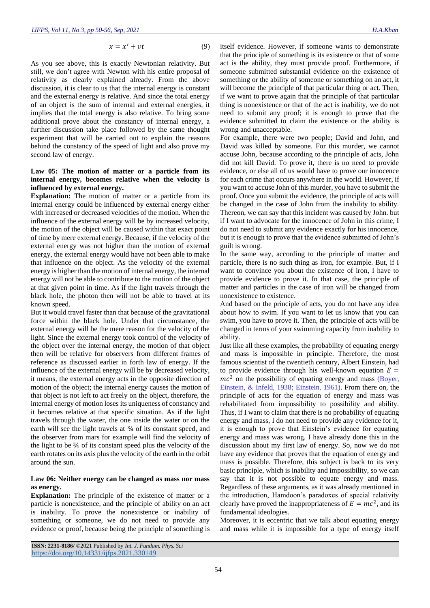$$
x = x' + vt \tag{9}
$$

As you see above, this is exactly Newtonian relativity. But still, we don't agree with Newton with his entire proposal of relativity as clearly explained already. From the above discussion, it is clear to us that the internal energy is constant and the external energy is relative. And since the total energy of an object is the sum of internal and external energies, it implies that the total energy is also relative. To bring some additional prove about the constancy of internal energy, a further discussion take place followed by the same thought experiment that will be carried out to explain the reasons behind the constancy of the speed of light and also prove my second law of energy.

# **Law 05: The motion of matter or a particle from its internal energy, becomes relative when the velocity is influenced by external energy.**

**Explanation:** The motion of matter or a particle from its internal energy could be influenced by external energy either with increased or decreased velocities of the motion. When the influence of the external energy will be by increased velocity, the motion of the object will be caused within that exact point of time by mere external energy. Because, if the velocity of the external energy was not higher than the motion of external energy, the external energy would have not been able to make that influence on the object. As the velocity of the external energy is higher than the motion of internal energy, the internal energy will not be able to contribute to the motion of the object at that given point in time. As if the light travels through the black hole, the photon then will not be able to travel at its known speed.

But it would travel faster than that because of the gravitational force within the black hole. Under that circumstance, the external energy will be the mere reason for the velocity of the light. Since the external energy took control of the velocity of the object over the internal energy, the motion of that object then will be relative for observers from different frames of reference as discussed earlier in forth law of energy. If the influence of the external energy will be by decreased velocity, it means, the external energy acts in the opposite direction of motion of the object; the internal energy causes the motion of that object is not left to act freely on the object, therefore, the internal energy of motion loses its uniqueness of constancy and it becomes relative at that specific situation. As if the light travels through the water, the one inside the water or on the earth will see the light travels at  $\frac{3}{4}$  of its constant speed, and the observer from mars for example will find the velocity of the light to be ¾ of its constant speed plus the velocity of the earth rotates on its axis plus the velocity of the earth in the orbit around the sun.

# **Law 06: Neither energy can be changed as mass nor mass as energy.**

**Explanation:** The principle of the existence of matter or a particle is nonexistence, and the principle of ability on an act is inability. To prove the nonexistence or inability of something or someone, we do not need to provide any evidence or proof, because being the principle of something is itself evidence. However, if someone wants to demonstrate that the principle of something is its existence or that of some act is the ability, they must provide proof. Furthermore, if someone submitted substantial evidence on the existence of something or the ability of someone or something on an act, it will become the principle of that particular thing or act. Then, if we want to prove again that the principle of that particular thing is nonexistence or that of the act is inability, we do not need to submit any proof; it is enough to prove that the evidence submitted to claim the existence or the ability is wrong and unacceptable.

For example, there were two people; David and John, and David was killed by someone. For this murder, we cannot accuse John, because according to the principle of acts, John did not kill David. To prove it, there is no need to provide evidence, or else all of us would have to prove our innocence for each crime that occurs anywhere in the world. However, if you want to accuse John of this murder, you have to submit the proof. Once you submit the evidence, the principle of acts will be changed in the case of John from the inability to ability. Thereon, we can say that this incident was caused by John. but if I want to advocate for the innocence of John in this crime, I do not need to submit any evidence exactly for his innocence, but it is enough to prove that the evidence submitted of John's guilt is wrong.

In the same way, according to the principle of matter and particle, there is no such thing as iron, for example. But, if I want to convince you about the existence of iron, I have to provide evidence to prove it. In that case, the principle of matter and particles in the case of iron will be changed from nonexistence to existence.

And based on the principle of acts, you do not have any idea about how to swim. If you want to let us know that you can swim, you have to prove it. Then, the principle of acts will be changed in terms of your swimming capacity from inability to ability.

Just like all these examples, the probability of equating energy and mass is impossible in principle. Therefore, the most famous scientist of the twentieth century, Albert Einstein, had to provide evidence through his well-known equation  $E =$  $mc<sup>2</sup>$  on the possibility of equating energy and mass (Boyer, [Einstein, & Infeld, 1938;](#page-6-1) [Einstein, 1961\)](#page-6-2). From there on, the principle of acts for the equation of energy and mass was rehabilitated from impossibility to possibility and ability. Thus, if I want to claim that there is no probability of equating energy and mass, I do not need to provide any evidence for it, it is enough to prove that Einstein's evidence for equating energy and mass was wrong. I have already done this in the discussion about my first law of energy. So, now we do not have any evidence that proves that the equation of energy and mass is possible. Therefore, this subject is back to its very basic principle, which is inability and impossibility, so we can say that it is not possible to equate energy and mass. Regardless of these arguments, as it was already mentioned in the introduction, Hamdoon's paradoxes of special relativity clearly have proved the inappropriateness of  $E = mc^2$ , and its fundamental ideologies.

Moreover, it is eccentric that we talk about equating energy and mass while it is impossible for a type of energy itself

**ISSN: 2231-8186/** ©2021 Published by *Int. J. Fundam. Phys. Sci* <https://doi.org/10.14331/ijfps.2021.330149>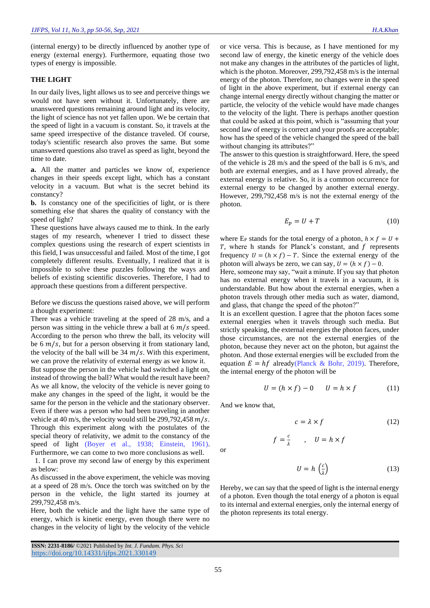(internal energy) to be directly influenced by another type of energy (external energy). Furthermore, equating those two types of energy is impossible.

# **THE LIGHT**

In our daily lives, light allows us to see and perceive things we would not have seen without it. Unfortunately, there are unanswered questions remaining around light and its velocity, the light of science has not yet fallen upon. We be certain that the speed of light in a vacuum is constant. So, it travels at the same speed irrespective of the distance traveled. Of course, today's scientific research also proves the same. But some unanswered questions also travel as speed as light, beyond the time to date.

**a.** All the matter and particles we know of, experience changes in their speeds except light, which has a constant velocity in a vacuum. But what is the secret behind its constancy?

**b.** Is constancy one of the specificities of light, or is there something else that shares the quality of constancy with the speed of light?

These questions have always caused me to think. In the early stages of my research, whenever I tried to dissect these complex questions using the research of expert scientists in this field, I was unsuccessful and failed. Most of the time, I got completely different results. Eventually, I realized that it is impossible to solve these puzzles following the ways and beliefs of existing scientific discoveries. Therefore, I had to approach these questions from a different perspective.

Before we discuss the questions raised above, we will perform a thought experiment:

There was a vehicle traveling at the speed of 28 m/s, and a person was sitting in the vehicle threw a ball at  $6 \frac{m}{s}$  speed. According to the person who threw the ball, its velocity will be 6  $m/s$ , but for a person observing it from stationary land, the velocity of the ball will be  $34 \, m/s$ . With this experiment, we can prove the relativity of external energy as we know it. But suppose the person in the vehicle had switched a light on, instead of throwing the ball? What would the result have been? As we all know, the velocity of the vehicle is never going to make any changes in the speed of the light, it would be the same for the person in the vehicle and the stationary observer. Even if there was a person who had been traveling in another vehicle at 40 m/s, the velocity would still be  $299,792,458$  m/s. Through this experiment along with the postulates of the special theory of relativity, we admit to the constancy of the speed of light [\(Boyer et al., 1938;](#page-6-1) [Einstein, 1961\)](#page-6-2). Furthermore, we can come to two more conclusions as well.

1. I can prove my second law of energy by this experiment as below:

As discussed in the above experiment, the vehicle was moving at a speed of 28 m/s. Once the torch was switched on by the person in the vehicle, the light started its journey at 299,792,458 m/s.

Here, both the vehicle and the light have the same type of energy, which is kinetic energy, even though there were no changes in the velocity of light by the velocity of the vehicle

**ISSN: 2231-8186/** ©2021 Published by *Int. J. Fundam. Phys. Sci* <https://doi.org/10.14331/ijfps.2021.330149>

or vice versa. This is because, as I have mentioned for my second law of energy, the kinetic energy of the vehicle does not make any changes in the attributes of the particles of light, which is the photon. Moreover, 299,792,458 m/s is the internal energy of the photon. Therefore, no changes were in the speed of light in the above experiment, but if external energy can change internal energy directly without changing the matter or particle, the velocity of the vehicle would have made changes to the velocity of the light. There is perhaps another question that could be asked at this point, which is "assuming that your second law of energy is correct and your proofs are acceptable; how has the speed of the vehicle changed the speed of the ball without changing its attributes?"

The answer to this question is straightforward. Here, the speed of the vehicle is 28 m/s and the speed of the ball is 6 m/s, and both are external energies, and as I have proved already, the external energy is relative. So, it is a common occurrence for external energy to be changed by another external energy. However, 299,792,458 m/s is not the external energy of the photon.

$$
E_p = U + T \tag{10}
$$

where E<sub>P</sub> stands for the total energy of a photon,  $h \times f = U +$  $T$ , where h stands for Planck's constant, and  $f$  represents frequency  $U = (h \times f) - T$ . Since the external energy of the photon will always be zero, we can say,  $U = (h \times f) - 0$ . Here, someone may say, "wait a minute. If you say that photon

has no external energy when it travels in a vacuum, it is understandable. But how about the external energies, when a photon travels through other media such as water, diamond, and glass, that change the speed of the photon?"

It is an excellent question. I agree that the photon faces some external energies when it travels through such media. But strictly speaking, the external energies the photon faces, under those circumstances, are not the external energies of the photon, because they never act on the photon, but against the photon. And those external energies will be excluded from the equation  $E = hf$  already[\(Planck & Bohr, 2019\)](#page-6-3). Therefore, the internal energy of the photon will be

$$
U = (h \times f) - 0 \qquad U = h \times f \tag{11}
$$

And we know that,

 $f=\frac{c}{\lambda}$ 

$$
c = \lambda \times f \tag{12}
$$

or

$$
U = h\left(\frac{c}{\lambda}\right) \tag{13}
$$

Hereby, we can say that the speed of light is the internal energy of a photon. Even though the total energy of a photon is equal to its internal and external energies, only the internal energy of the photon represents its total energy.

 $\frac{c}{\lambda}$ ,  $U = h \times f$